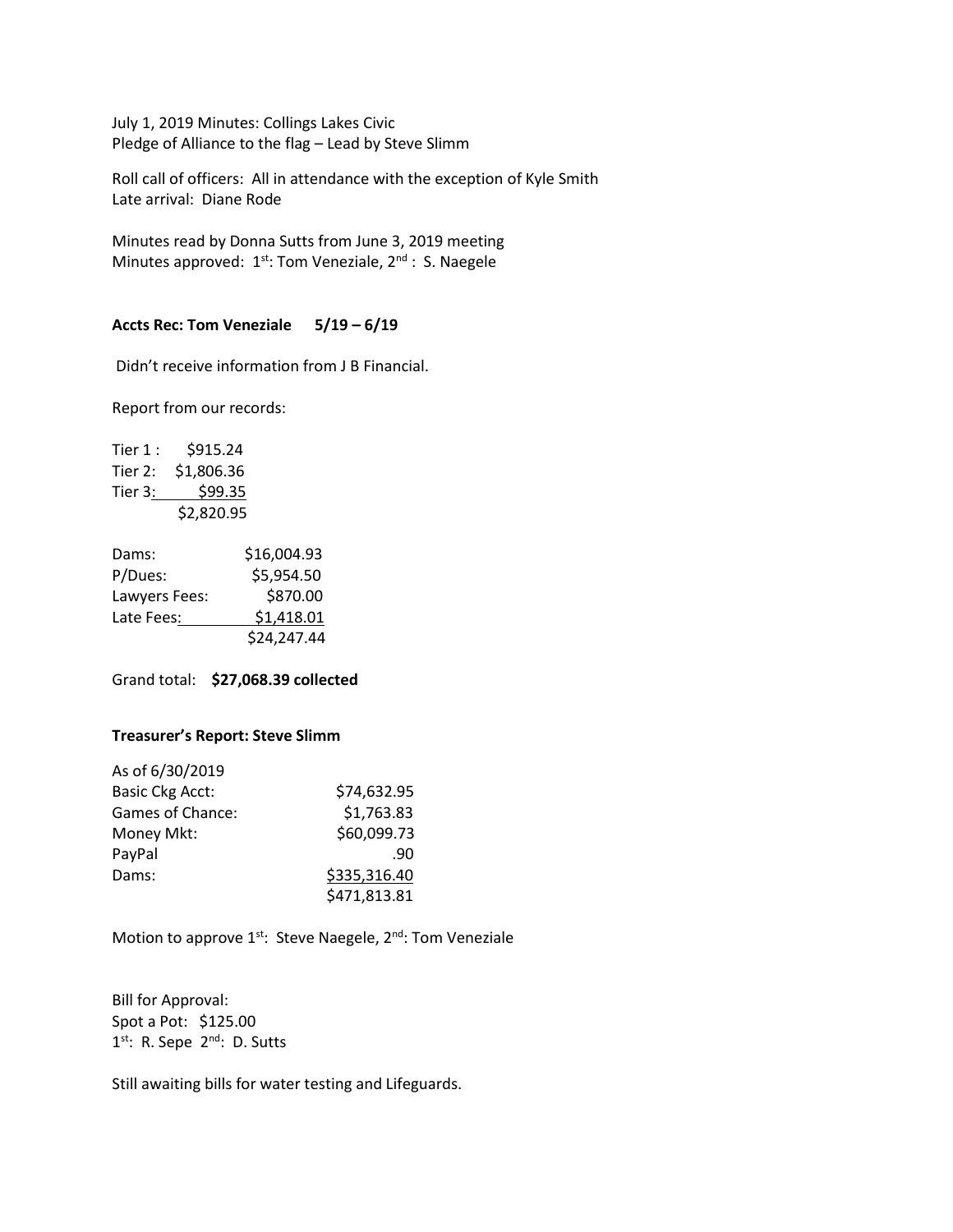July 1, 2019 Minutes: Collings Lakes Civic Pledge of Alliance to the flag – Lead by Steve Slimm

Roll call of officers: All in attendance with the exception of Kyle Smith Late arrival: Diane Rode

Minutes read by Donna Sutts from June 3, 2019 meeting Minutes approved:  $1^{st}$ : Tom Veneziale,  $2^{nd}$ : S. Naegele

### **Accts Rec: Tom Veneziale 5/19 – 6/19**

Didn't receive information from J B Financial.

Report from our records:

Tier 1: \$915.24 Tier 2: \$1,806.36 Tier 3: \$99.35 \$2,820.95

| Dams:         | \$16,004.93 |
|---------------|-------------|
| P/Dues:       | \$5,954.50  |
| Lawyers Fees: | \$870.00    |
| Late Fees:    | \$1,418.01  |
|               | \$24,247.44 |

Grand total: **\$27,068.39 collected**

# **Treasurer's Report: Steve Slimm**

| As of 6/30/2019        |              |
|------------------------|--------------|
| <b>Basic Ckg Acct:</b> | \$74,632.95  |
| Games of Chance:       | \$1,763.83   |
| Money Mkt:             | \$60,099.73  |
| PayPal                 | .90          |
| Dams:                  | \$335,316.40 |
|                        | \$471,813.81 |

Motion to approve 1<sup>st</sup>: Steve Naegele, 2<sup>nd</sup>: Tom Veneziale

Bill for Approval: Spot a Pot: \$125.00 1<sup>st</sup>: R. Sepe 2<sup>nd</sup>: D. Sutts

Still awaiting bills for water testing and Lifeguards.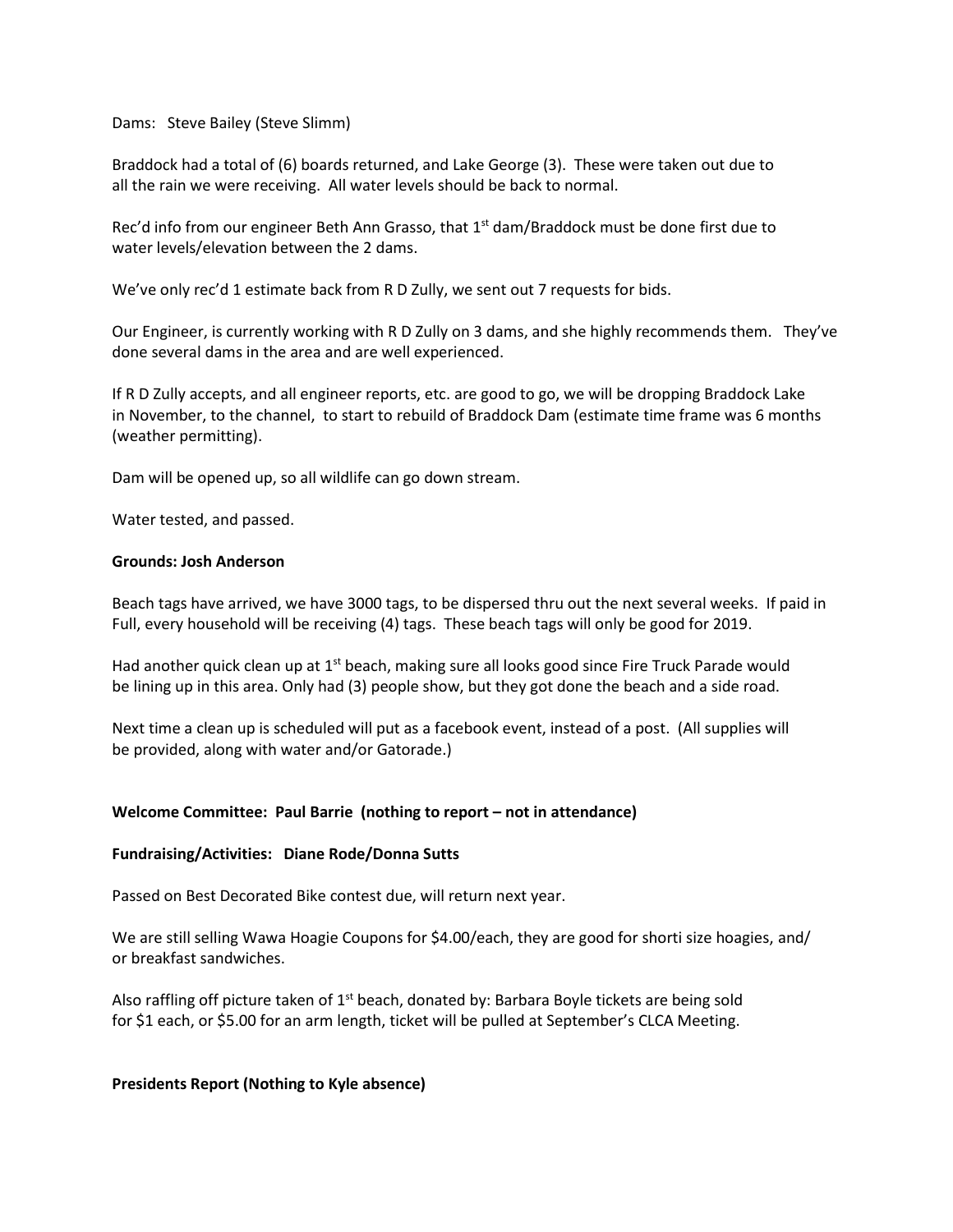Dams: Steve Bailey (Steve Slimm)

Braddock had a total of (6) boards returned, and Lake George (3). These were taken out due to all the rain we were receiving. All water levels should be back to normal.

Rec'd info from our engineer Beth Ann Grasso, that 1<sup>st</sup> dam/Braddock must be done first due to water levels/elevation between the 2 dams.

We've only rec'd 1 estimate back from R D Zully, we sent out 7 requests for bids.

Our Engineer, is currently working with R D Zully on 3 dams, and she highly recommends them. They've done several dams in the area and are well experienced.

If R D Zully accepts, and all engineer reports, etc. are good to go, we will be dropping Braddock Lake in November, to the channel, to start to rebuild of Braddock Dam (estimate time frame was 6 months (weather permitting).

Dam will be opened up, so all wildlife can go down stream.

Water tested, and passed.

### **Grounds: Josh Anderson**

Beach tags have arrived, we have 3000 tags, to be dispersed thru out the next several weeks. If paid in Full, every household will be receiving (4) tags. These beach tags will only be good for 2019.

Had another quick clean up at  $1<sup>st</sup>$  beach, making sure all looks good since Fire Truck Parade would be lining up in this area. Only had (3) people show, but they got done the beach and a side road.

Next time a clean up is scheduled will put as a facebook event, instead of a post. (All supplies will be provided, along with water and/or Gatorade.)

# Welcome Committee: Paul Barrie (nothing to report – not in attendance)

### **Fundraising/Activities: Diane Rode/Donna Sutts**

Passed on Best Decorated Bike contest due, will return next year.

We are still selling Wawa Hoagie Coupons for \$4.00/each, they are good for shorti size hoagies, and/ or breakfast sandwiches.

Also raffling off picture taken of  $1<sup>st</sup>$  beach, donated by: Barbara Boyle tickets are being sold for \$1 each, or \$5.00 for an arm length, ticket will be pulled at September's CLCA Meeting.

#### **Presidents Report (Nothing to Kyle absence)**